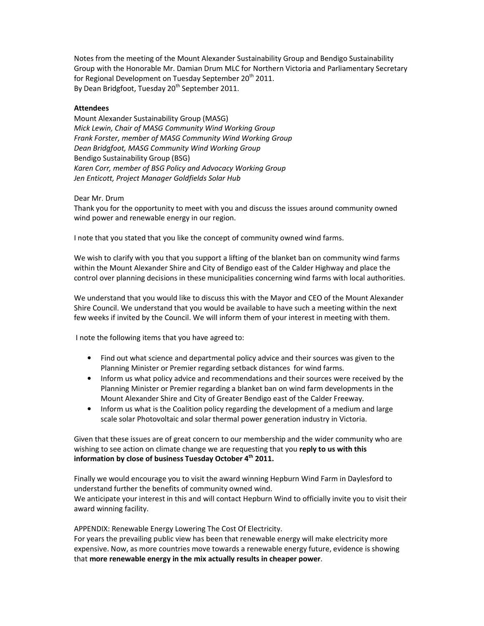Notes from the meeting of the Mount Alexander Sustainability Group and Bendigo Sustainability Group with the Honorable Mr. Damian Drum MLC for Northern Victoria and Parliamentary Secretary for Regional Development on Tuesday September 20<sup>th</sup> 2011. By Dean Bridgfoot, Tuesday 20<sup>th</sup> September 2011.

## Attendees

Mount Alexander Sustainability Group (MASG) Mick Lewin, Chair of MASG Community Wind Working Group Frank Forster, member of MASG Community Wind Working Group Dean Bridgfoot, MASG Community Wind Working Group Bendigo Sustainability Group (BSG) Karen Corr, member of BSG Policy and Advocacy Working Group Jen Enticott, Project Manager Goldfields Solar Hub

Dear Mr. Drum

Thank you for the opportunity to meet with you and discuss the issues around community owned wind power and renewable energy in our region.

I note that you stated that you like the concept of community owned wind farms.

We wish to clarify with you that you support a lifting of the blanket ban on community wind farms within the Mount Alexander Shire and City of Bendigo east of the Calder Highway and place the control over planning decisions in these municipalities concerning wind farms with local authorities.

We understand that you would like to discuss this with the Mayor and CEO of the Mount Alexander Shire Council. We understand that you would be available to have such a meeting within the next few weeks if invited by the Council. We will inform them of your interest in meeting with them.

I note the following items that you have agreed to:

- Find out what science and departmental policy advice and their sources was given to the Planning Minister or Premier regarding setback distances for wind farms.
- Inform us what policy advice and recommendations and their sources were received by the Planning Minister or Premier regarding a blanket ban on wind farm developments in the Mount Alexander Shire and City of Greater Bendigo east of the Calder Freeway.
- Inform us what is the Coalition policy regarding the development of a medium and large scale solar Photovoltaic and solar thermal power generation industry in Victoria.

Given that these issues are of great concern to our membership and the wider community who are wishing to see action on climate change we are requesting that you reply to us with this information by close of business Tuesday October  $4<sup>th</sup>$  2011.

Finally we would encourage you to visit the award winning Hepburn Wind Farm in Daylesford to understand further the benefits of community owned wind. We anticipate your interest in this and will contact Hepburn Wind to officially invite you to visit their award winning facility.

APPENDIX: Renewable Energy Lowering The Cost Of Electricity.

For years the prevailing public view has been that renewable energy will make electricity more expensive. Now, as more countries move towards a renewable energy future, evidence is showing that more renewable energy in the mix actually results in cheaper power.